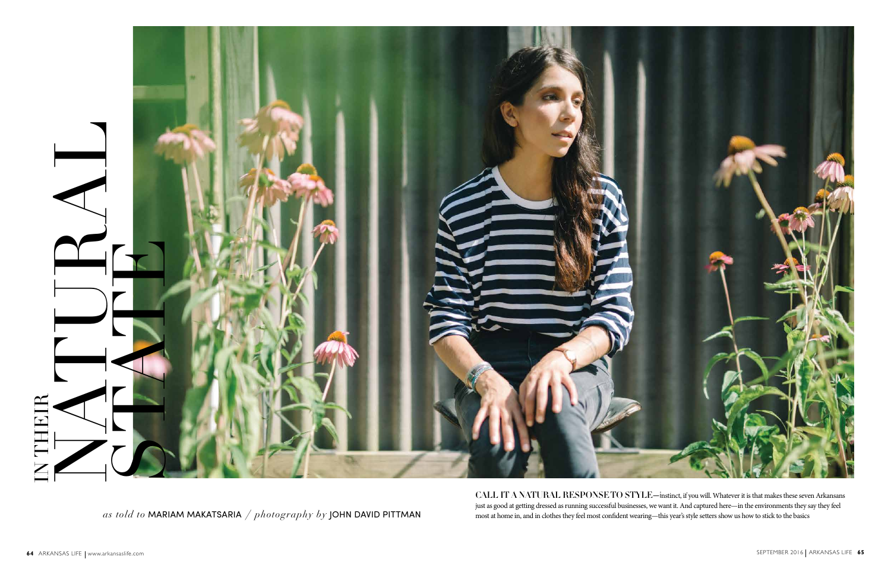*as told to* MARIAM MAKATSARIA */ photography by* JOHN DAVID PITTMAN



CALL IT A NATURAL RESPONSE TO STYLE—instinct, if you will. Whatever it is that makes these seven Arkansans just as good at getting dressed as running successful businesses, we want it. And captured here—in the environments they say they feel most at home in, and in clothes they feel most confident wearing—this year's style setters show us how to stick to the basics

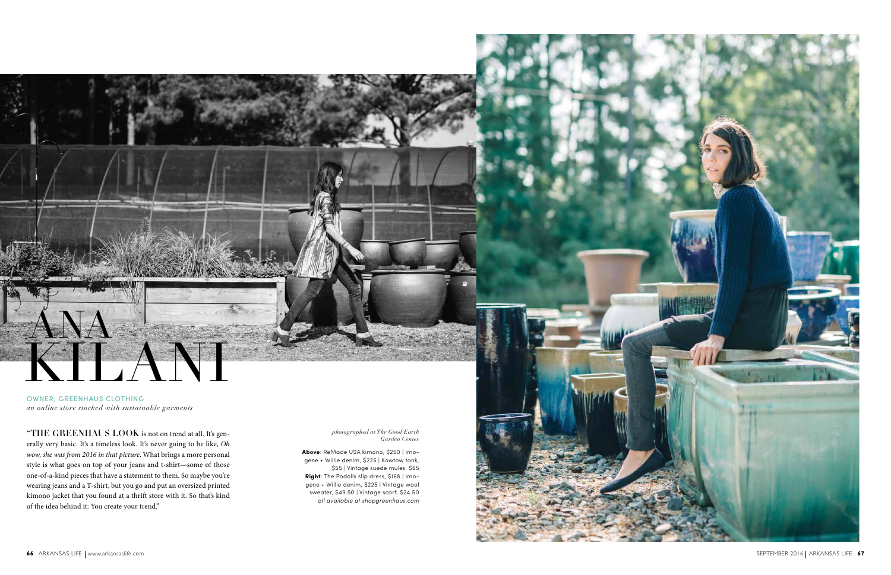

 $\rm ^{\circ}THE~GREENHAUS~LOOK$  is not on trend at all. It's generally very basic. It's a timeless look. It's never going to be like, *Oh wow, she was from 2016 in that picture*. What brings a more personal style is what goes on top of your jeans and t-shirt—some of those one-of-a-kind pieces that have a statement to them. So maybe you're wearing jeans and a T-shirt, but you go and put an oversized printed kimono jacket that you found at a thrift store with it. So that's kind of the idea behind it: You create your trend."

OWNER, GREENHAUS CLOTHING *an online store stocked with sustainable garments* KILANI

> *photographed at The Good Earth Garden Center*

**Above**: ReMade USA kimono, \$250 | Imo gene + Willie denim, \$225 | Kowtow tank, \$55 | Vintage suede mules, \$65 **Right**: The Podolls slip dress, \$168 | Imo gene + Willie denim, \$225 | Vintage wool sweater, \$49.50 | Vintage scarf, \$24.50 *all available at shopgreenhaus.com*

ANA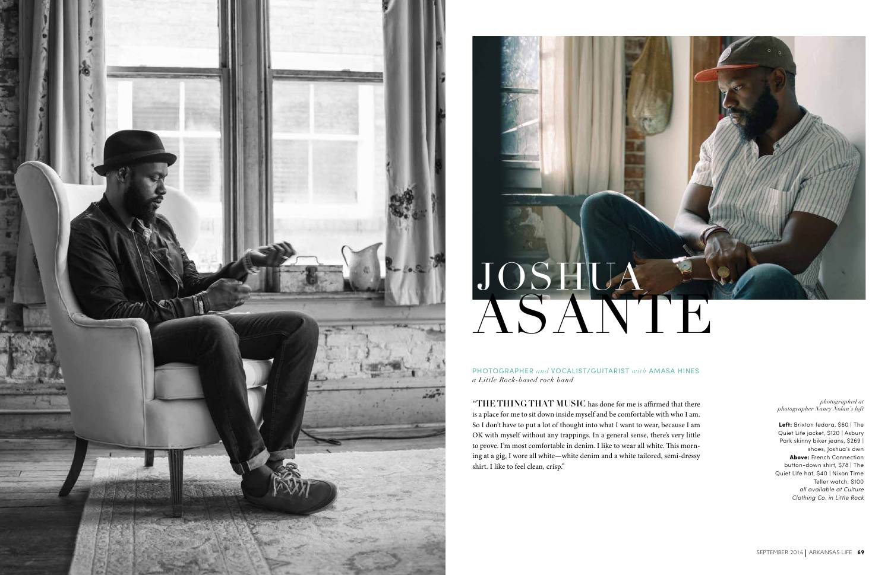

## JOSHUA ASANTE

PHOTOGRAPHER *and* VOCALIST/GUITARIST *with* AMASA HINES *a Little Rock-based rock band*

"THE THING THAT MUSIC has done for me is affirmed that there is a place for me to sit down inside myself and be comfortable with who I am. So I don't have to put a lot of thought into what I want to wear, because I am OK with myself without any trappings. In a general sense, there's very little to prove. I'm most comfortable in denim. I like to wear all white. This morn ing at a gig, I wore all white—white denim and a white tailored, semi-dressy shirt. I like to feel clean, crisp."



### *photographed at photographer Nancy Nolan's loft*

**Left:** Brixton fedora, \$60 | The Quiet Life jacket, \$120 | Asbury Park skinny biker jeans, \$269 | shoes, Joshua's own **Above:** French Connection button-down shirt, \$78 | The Quiet Life hat, \$40 | Nixon Time Teller watch, \$100 *all available at Culture Clothing Co. in Little Rock*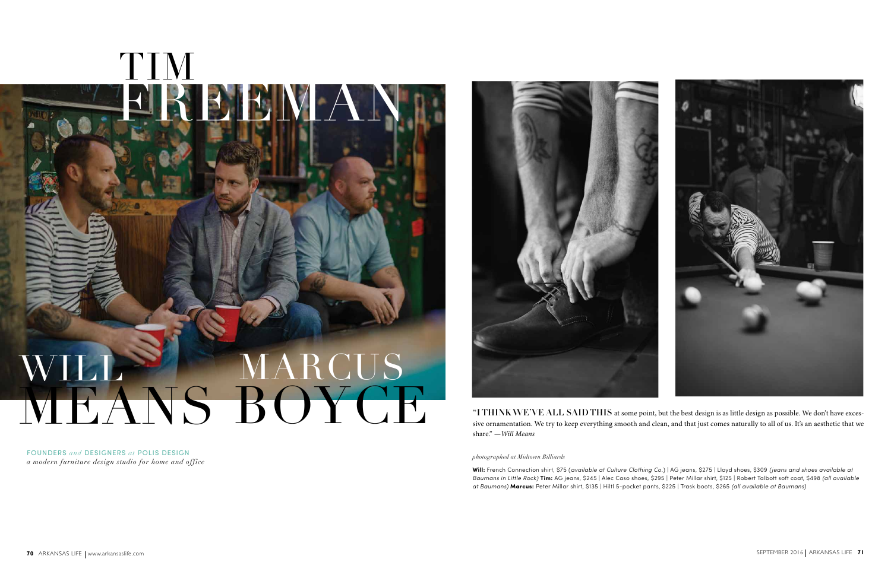FOUNDERS *and* DESIGNERS *at* POLIS DESIGN *a modern furniture design studio for home and office*



"I THINK WE'VE ALL SAID THIS at some point, but the best design is as little design as possible. We don't have excessive ornamentation. We try to keep everything smooth and clean, and that just comes naturally to all of us. It's an aesthetic that we share." *—Will Means*

*photographed at Midtown Billiards*



**Will:** French Connection shirt, \$75 (*available at Culture Clothing Co.*) | AG jeans, \$275 | Lloyd shoes, \$309 *(jeans and shoes available at Baumans in Little Rock)* **Tim:** AG jeans, \$245 | Alec Caso shoes, \$295 | Peter Millar shirt, \$125 | Robert Talbott soft coat, \$498 *(all available at Baumans)* **Marcus:** Peter Millar shirt, \$135 | Hiltl 5-pocket pants, \$225 | Trask boots, \$265 *(all available at Baumans)*

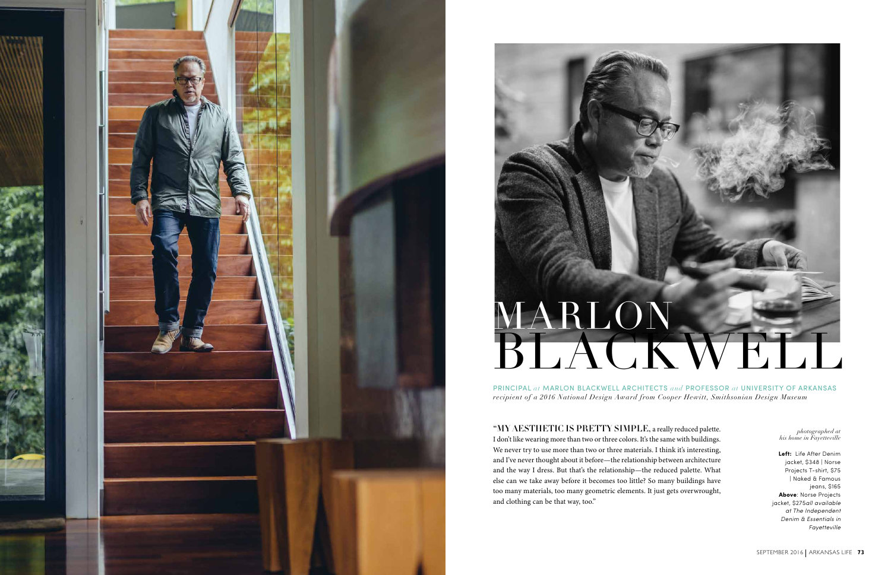

# MARLON BLACKWELL

PRINCIPAL *at* MARLON BLACKWELL ARCHITECTS *and* PROFESSOR *at* UNIVERSITY OF ARKANSAS *recipient of a 2016 National Design Award from Cooper Hewitt, Smithsonian Design Museum*

"MY AESTHETIC IS PRETTY SIMPLE, a really reduced palette. I don't like wearing more than two or three colors. It's the same with buildings. We never try to use more than two or three materials. I think it's interesting, and I've never thought about it before—the relationship between architecture and the way I dress. But that's the relationship—the reduced palette. What else can we take away before it becomes too little? So many buildings have too many materials, too many geometric elements. It just gets overwrought, and clothing can be that way, too."



*photographed at his home in Fayetteville*

**Left:** Life After Denim jacket, \$348 | Norse Projects T-shirt, \$75 | Naked & Famous jeans, \$165 **Above**: Norse Projects jacket, \$275*all available at The Independent Denim & Essentials in Fayetteville*